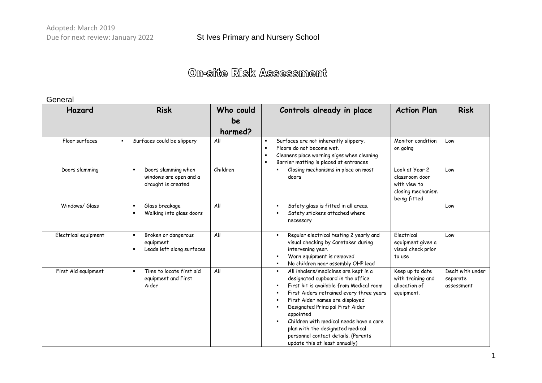#### General

| Hazard               | <b>Risk</b>                                                                           | Who could     | Controls already in place                                                                                                                                                                                                                                                                                                                                                                                                                                                | <b>Action Plan</b>                                                                    | <b>Risk</b>                                |
|----------------------|---------------------------------------------------------------------------------------|---------------|--------------------------------------------------------------------------------------------------------------------------------------------------------------------------------------------------------------------------------------------------------------------------------------------------------------------------------------------------------------------------------------------------------------------------------------------------------------------------|---------------------------------------------------------------------------------------|--------------------------------------------|
|                      |                                                                                       | be<br>harmed? |                                                                                                                                                                                                                                                                                                                                                                                                                                                                          |                                                                                       |                                            |
| Floor surfaces       | Surfaces could be slippery<br>$\blacksquare$                                          | All           | Surfaces are not inherently slippery.<br>$\blacksquare$<br>Floors do not become wet.<br>$\blacksquare$<br>Cleaners place warning signs when cleaning<br>$\blacksquare$<br>Barrier matting is placed at entrances<br>$\blacksquare$                                                                                                                                                                                                                                       | Monitor condition<br>on going                                                         | Low                                        |
| Doors slamming       | Doors slamming when<br>$\blacksquare$<br>windows are open and a<br>draught is created | Children      | Closing mechanisms in place on most<br>$\blacksquare$<br>doors                                                                                                                                                                                                                                                                                                                                                                                                           | Look at Year 2<br>classroom door<br>with view to<br>closing mechanism<br>being fitted | Low                                        |
| Windows/ Glass       | Glass breakage<br>Walking into glass doors                                            | All           | Safety glass is fitted in all areas.<br>$\blacksquare$<br>Safety stickers attached where<br>$\blacksquare$<br>necessary                                                                                                                                                                                                                                                                                                                                                  |                                                                                       | Low                                        |
| Electrical equipment | Broken or dangerous<br>$\blacksquare$<br>equipment<br>Leads left along surfaces       | All           | Regular electrical testing 2 yearly and<br>$\blacksquare$<br>visual checking by Caretaker during<br>intervening year.<br>Worn equipment is removed<br>٠<br>No children near assembly OHP lead<br>$\blacksquare$                                                                                                                                                                                                                                                          | Electrical<br>equipment given a<br>visual check prior<br>to use                       | Low                                        |
| First Aid equipment  | Time to locate first aid<br>equipment and First<br>Aider                              | All           | All inhalers/medicines are kept in a<br>$\blacksquare$<br>designated cupboard in the office<br>First kit is available from Medical room<br>First Aiders retrained every three years<br>$\blacksquare$<br>First Aider names are displayed<br>в<br>Designated Principal First Aider<br>appointed<br>Children with medical needs have a care<br>$\blacksquare$<br>plan with the designated medical<br>personnel contact details. (Parents<br>update this at least annually) | Keep up to date<br>with training and<br>allocation of<br>equipment.                   | Dealt with under<br>separate<br>assessment |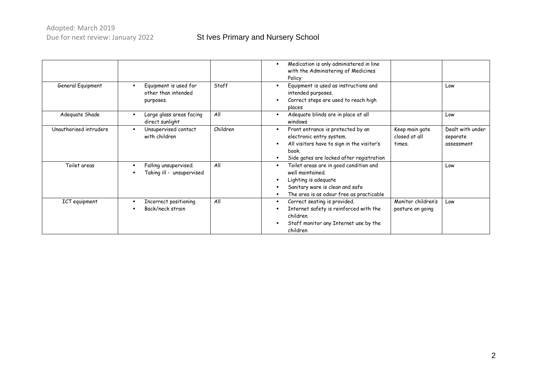### St Ives Primary and Nursery School

|                        |                                                                  |          | Medication is only administered in line<br>$\blacksquare$<br>with the Administering of Medicines<br>Policy                                                                                                 |                                           |                                            |
|------------------------|------------------------------------------------------------------|----------|------------------------------------------------------------------------------------------------------------------------------------------------------------------------------------------------------------|-------------------------------------------|--------------------------------------------|
| General Equipment      | Equipment is used for<br>other than intended<br>purposes.        | Staff    | Equipment is used as instructions and<br>intended purposes.<br>Correct steps are used to reach high<br>places                                                                                              |                                           | Low                                        |
| Adequate Shade         | Large glass areas facing<br>٠<br>direct sunlight                 | All      | Adequate blinds are in place at all<br>$\blacksquare$<br>windows                                                                                                                                           |                                           | Low                                        |
| Unauthorised intruders | Unsupervised contact<br>٠<br>with children                       | Children | Front entrance is protected by an<br>$\blacksquare$<br>electronic entry system.<br>All visitors have to sign in the visitor's<br>$\blacksquare$<br>book.<br>Side gates are locked after registration       | Keep main gate<br>closed at all<br>times. | Dealt with under<br>separate<br>assessment |
| Toilet areas           | Falling unsupervised.<br>٠<br>Taking ill - unsupervised<br>٠     | All      | Toilet areas are in good condition and<br>٠<br>well maintained.<br>Lighting is adequate<br>$\blacksquare$<br>Sanitary ware is clean and safe<br>The area is as odour free as practicable<br>$\blacksquare$ |                                           | Low                                        |
| ICT equipment          | Incorrect positioning<br>٠<br>Back/neck strain<br>$\blacksquare$ | All      | Correct seating is provided.<br>٠<br>Internet safety is reinforced with the<br>children.<br>Staff monitor any Internet use by the<br>children                                                              | Monitor children's<br>posture on going    | Low                                        |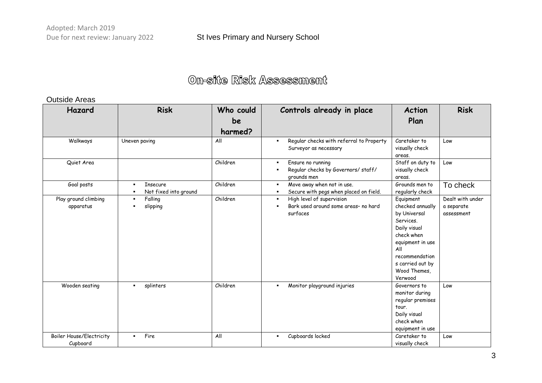#### Outside Areas

| Hazard                                      | <b>Risk</b>                                                                  | Who could<br>be<br>harmed? | Controls already in place                                                                                | <b>Action</b><br>Plan                                                                                                                                                                | <b>Risk</b>                                  |
|---------------------------------------------|------------------------------------------------------------------------------|----------------------------|----------------------------------------------------------------------------------------------------------|--------------------------------------------------------------------------------------------------------------------------------------------------------------------------------------|----------------------------------------------|
| Walkways                                    | Uneven paving                                                                | All                        | Regular checks with referral to Property<br>Surveyor as necessary                                        | Caretaker to<br>visually check<br>areas.                                                                                                                                             | Low                                          |
| Quiet Area                                  |                                                                              | Children                   | Ensure no running<br>$\blacksquare$<br>Regular checks by Governors/ staff/<br>٠<br>grounds men           | Staff on duty to<br>visually check<br>areas.                                                                                                                                         | Low                                          |
| Goal posts                                  | <b>Insecure</b><br>$\blacksquare$<br>Not fixed into ground<br>$\blacksquare$ | Children                   | Move away when not in use.<br>$\blacksquare$<br>Secure with pegs when placed on field.<br>$\blacksquare$ | Grounds men to<br>regularly check                                                                                                                                                    | To check                                     |
| Play ground climbing<br>apparatus           | Falling<br>$\blacksquare$<br>slipping<br>$\blacksquare$                      | Children                   | High level of supervision<br>$\blacksquare$<br>Bark used around some areas- no hard<br>surfaces          | Equipment<br>checked annually<br>by Universal<br>Services.<br>Daily visual<br>check when<br>equipment in use<br>All<br>recommendation<br>s carried out by<br>Wood Themes,<br>Verwood | Dealt with under<br>a separate<br>assessment |
| Wooden seating                              | splinters<br>$\blacksquare$                                                  | Children                   | Monitor playground injuries<br>$\blacksquare$                                                            | Governors to<br>monitor during<br>regular premises<br>tour.<br>Daily visual<br>check when<br>equipment in use                                                                        | Low                                          |
| <b>Boiler House/Electricity</b><br>Cupboard | Fire<br>$\blacksquare$                                                       | All                        | Cupboards locked<br>$\blacksquare$                                                                       | Caretaker to<br>visually check                                                                                                                                                       | Low                                          |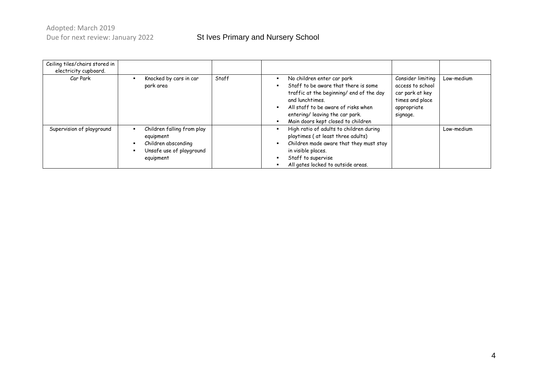### St Ives Primary and Nursery School

| Ceiling tiles/chairs stored in |                                                                                                                   |       |                                                                                                                                                                                                                                                   |                                                                                                        |            |
|--------------------------------|-------------------------------------------------------------------------------------------------------------------|-------|---------------------------------------------------------------------------------------------------------------------------------------------------------------------------------------------------------------------------------------------------|--------------------------------------------------------------------------------------------------------|------------|
| electricity cupboard.          |                                                                                                                   |       |                                                                                                                                                                                                                                                   |                                                                                                        |            |
| Car Park                       | Knocked by cars in car<br>park area                                                                               | Staff | No children enter car park<br>Staff to be aware that there is some<br>traffic at the beginning/ end of the day<br>and lunchtimes.<br>All staff to be aware of risks when<br>entering/ leaving the car park.<br>Main doors kept closed to children | Consider limiting<br>access to school<br>car park at key<br>times and place<br>appropriate<br>signage. | Low-medium |
| Supervision of playground      | Children falling from play<br>٠<br>equipment<br>Children absconding<br>٠<br>Unsafe use of playground<br>equipment |       | High ratio of adults to children during<br>playtimes (at least three adults)<br>Children made aware that they must stay<br>in visible places.<br>Staff to supervise<br>All gates locked to outside areas.                                         |                                                                                                        | Low-medium |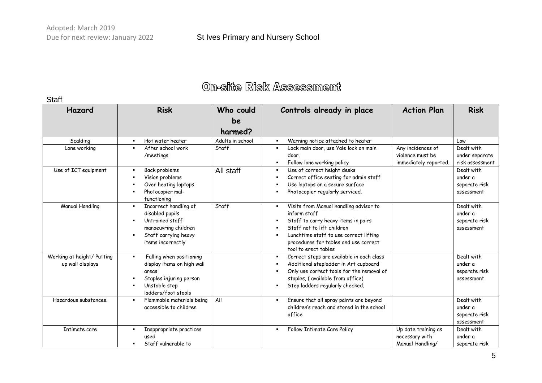Staff

| Hazard                                         | <b>Risk</b>                                                                                                                                          | Who could<br>be<br>harmed? | Controls already in place                                                                                                                                                                                                                                                            | <b>Action Plan</b>                                             | <b>Risk</b>                                          |
|------------------------------------------------|------------------------------------------------------------------------------------------------------------------------------------------------------|----------------------------|--------------------------------------------------------------------------------------------------------------------------------------------------------------------------------------------------------------------------------------------------------------------------------------|----------------------------------------------------------------|------------------------------------------------------|
| Scalding                                       | Hot water heater<br>$\blacksquare$                                                                                                                   | Adults in school           | Warning notice attached to heater<br>$\blacksquare$                                                                                                                                                                                                                                  |                                                                | Low                                                  |
| Lone working                                   | After school work<br>$\blacksquare$<br>/meetings                                                                                                     | Staff                      | Lock main door, use Yale lock on main<br>٠<br>door.<br>Follow lone working policy<br>$\blacksquare$                                                                                                                                                                                  | Any incidences of<br>violence must be<br>immediately reported. | Dealt with<br>under separate<br>risk assessment      |
| Use of ICT equipment                           | Back problems<br>$\blacksquare$<br>Vision problems<br>Over heating laptops<br>Photocopier mal-<br>functioning                                        | All staff                  | Use of correct height desks<br>$\blacksquare$<br>Correct office seating for admin staff<br>Use laptops on a secure surface<br>Photocopier regularly serviced.                                                                                                                        |                                                                | Dealt with<br>under a<br>separate risk<br>assessment |
| <b>Manual Handling</b>                         | Incorrect handling of<br>$\blacksquare$<br>disabled pupils<br>Untrained staff<br>manoeuvring children<br>Staff carrying heavy<br>items incorrectly   | Staff                      | Visits from Manual handling advisor to<br>$\blacksquare$<br>inform staff<br>Staff to carry heavy items in pairs<br>٠<br>Staff not to lift children<br>$\blacksquare$<br>Lunchtime staff to use correct lifting<br>٠<br>procedures for tables and use correct<br>tool to erect tables |                                                                | Dealt with<br>under a<br>separate risk<br>assessment |
| Working at height/ Putting<br>up wall displays | Falling when positioning<br>$\blacksquare$<br>display items on high wall<br>areas<br>Staples injuring person<br>Unstable step<br>ladders/foot stools |                            | Correct steps are available in each class<br>$\blacksquare$<br>Additional stepladder in Art cupboard<br>٠<br>Only use correct tools for the removal of<br>staples, (available from office)<br>Step ladders regularly checked.                                                        |                                                                | Dealt with<br>under a<br>separate risk<br>assessment |
| Hazardous substances.                          | Flammable materials being<br>$\blacksquare$<br>accessible to children                                                                                | All                        | Ensure that all spray paints are beyond<br>$\blacksquare$<br>children's reach and stored in the school<br>office                                                                                                                                                                     |                                                                | Dealt with<br>under a<br>separate risk<br>assessment |
| Intimate care                                  | Inappropriate practices<br>used<br>Staff vulnerable to                                                                                               |                            | Follow Intimate Care Policy<br>$\blacksquare$                                                                                                                                                                                                                                        | Up date training as<br>necessary with<br>Manual Handlina/      | Dealt with<br>under a<br>separate risk               |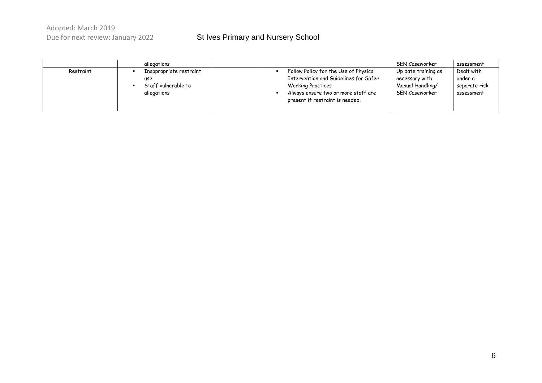|           | allegations                                                          |                                                                                                                                                                                      | SEN Caseworker                                                              | assessment                                           |
|-----------|----------------------------------------------------------------------|--------------------------------------------------------------------------------------------------------------------------------------------------------------------------------------|-----------------------------------------------------------------------------|------------------------------------------------------|
| Restraint | Inappropriate restraint<br>use<br>Staff vulnerable to<br>allegations | Follow Policy for the Use of Physical<br>Intervention and Guidelines for Safer<br><b>Working Practices</b><br>Always ensure two or more staff are<br>present if restraint is needed. | Up date training as<br>necessary with<br>Manual Handling/<br>SEN Caseworker | Dealt with<br>under a<br>separate risk<br>assessment |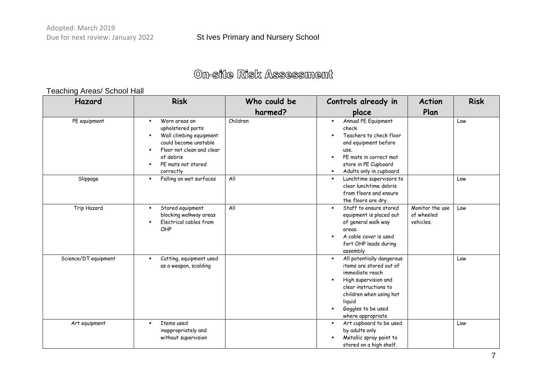# **On-site Risk Assessment**

### Teaching Areas/ School Hall

| Hazard               | <b>Risk</b>                                                                                                                                                         | Who could be | Controls already in                                                                                                                                                                                                        | <b>Action</b>                              | <b>Risk</b> |
|----------------------|---------------------------------------------------------------------------------------------------------------------------------------------------------------------|--------------|----------------------------------------------------------------------------------------------------------------------------------------------------------------------------------------------------------------------------|--------------------------------------------|-------------|
|                      |                                                                                                                                                                     | harmed?      | place                                                                                                                                                                                                                      | Plan                                       |             |
| PE equipment         | Worn areas on<br>upholstered parts<br>Wall climbing equipment<br>could become unstable<br>Floor not clean and clear<br>of debris<br>PE mats not stored<br>correctly | Children     | Annual PE Equipment<br>$\blacksquare$<br>check<br>Teachers to check floor<br>and equipment before<br>use.<br>PE mats in correct mat<br>store in PE Cupboard<br>Adults only in cupboard<br>$\blacksquare$                   |                                            | Low         |
| Slippage             | Falling on wet surfaces                                                                                                                                             | All          | Lunchtime supervisors to<br>$\blacksquare$<br>clear lunchtime debris<br>from floors and ensure<br>the floors are dry.                                                                                                      |                                            | Low         |
| Trip Hazard          | Stored equipment<br>blocking walkway areas<br>Electrical cables from<br>OHP                                                                                         | All          | Staff to ensure stored<br>$\blacksquare$<br>equipment is placed out<br>of general walk way<br>areas.<br>A cable cover is used<br>fort OHP leads during<br>assembly                                                         | Monitor the use<br>of wheeled<br>vehicles. | Low         |
| Science/DT equipment | Cutting, equipment used<br>as a weapon, scalding                                                                                                                    |              | All potentially dangerous<br>$\blacksquare$<br>items are stored out of<br>immediate reach<br>High supervision and<br>clear instructions to<br>children when using hot<br>liquid<br>Goggles to be used<br>where appropriate |                                            | Low         |
| Art equipment        | Items used<br>inappropriately and<br>without supervision                                                                                                            |              | Art cupboard to be used<br>$\blacksquare$<br>by adults only<br>Metallic spray paint to<br>stored on a high shelf.                                                                                                          |                                            | Low         |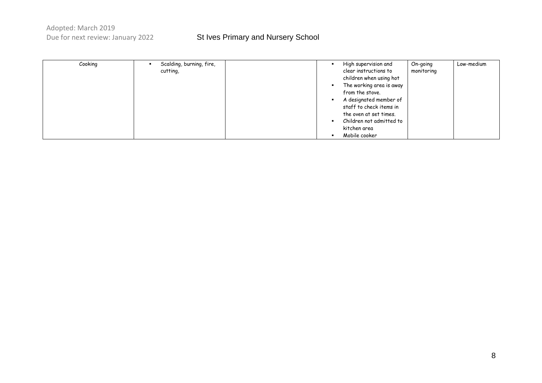| Cooking | Scalding, burning, fire, |  | High supervision and     | On-going   | Low-medium |
|---------|--------------------------|--|--------------------------|------------|------------|
|         | cutting,                 |  | clear instructions to    | monitoring |            |
|         |                          |  | children when using hot  |            |            |
|         |                          |  | The working area is away |            |            |
|         |                          |  | from the stove.          |            |            |
|         |                          |  | A designated member of   |            |            |
|         |                          |  | staff to check items in  |            |            |
|         |                          |  | the oven at set times.   |            |            |
|         |                          |  | Children not admitted to |            |            |
|         |                          |  | kitchen area             |            |            |
|         |                          |  | Mobile cooker            |            |            |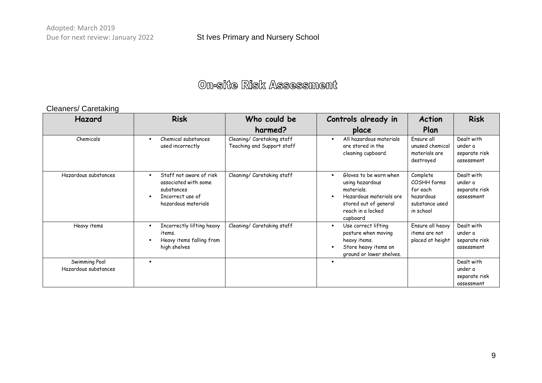# On-site Risk Assessment

### Cleaners/ Caretaking

| Hazard                                | <b>Risk</b>                                                                                              | Who could be                                             | Controls already in                                                                                                                                            | <b>Action</b>                                                                   | <b>Risk</b>                                          |
|---------------------------------------|----------------------------------------------------------------------------------------------------------|----------------------------------------------------------|----------------------------------------------------------------------------------------------------------------------------------------------------------------|---------------------------------------------------------------------------------|------------------------------------------------------|
|                                       |                                                                                                          | harmed?                                                  | place                                                                                                                                                          | Plan                                                                            |                                                      |
| Chemicals                             | Chemical substances<br>used incorrectly                                                                  | Cleaning/ Caretaking staff<br>Teaching and Support staff | All hazardous materials<br>are stored in the<br>cleaning cupboard.                                                                                             | Ensure all<br>unused chemical<br>materials are<br>destroyed                     | Dealt with<br>under a<br>separate risk<br>assessment |
| Hazardous substances                  | Staff not aware of risk<br>associated with some<br>substances<br>Incorrect use of<br>hazardous materials | Cleaning/ Caretaking staff                               | Gloves to be worn when<br>$\blacksquare$<br>using hazardous<br>materials.<br>Hazardous materials are<br>stored out of general<br>reach in a locked<br>cupboard | Complete<br>COSHH forms<br>for each<br>hazardous<br>substance used<br>in school | Dealt with<br>under a<br>separate risk<br>assessment |
| Heavy items                           | Incorrectly lifting heavy<br>items.<br>Heavy items falling from<br>high shelves                          | Cleaning/ Caretaking staff                               | Use correct lifting<br>$\blacksquare$<br>posture when moving<br>heavy items.<br>Store heavy items on<br>$\blacksquare$<br>ground or lower shelves.             | Ensure all heavy<br>items are not<br>placed at height                           | Dealt with<br>under a<br>separate risk<br>assessment |
| Swimming Pool<br>Hazardous substances |                                                                                                          |                                                          | ٠                                                                                                                                                              |                                                                                 | Dealt with<br>under a<br>separate risk<br>assessment |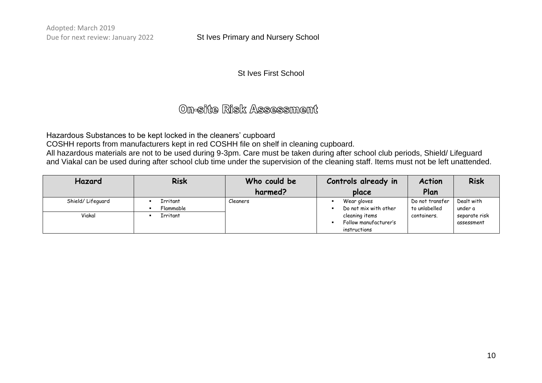#### St Ives Primary and Nursery School

#### St Ives First School

### On-site Risk Assessment

Hazardous Substances to be kept locked in the cleaners' cupboard

COSHH reports from manufacturers kept in red COSHH file on shelf in cleaning cupboard.

All hazardous materials are not to be used during 9-3pm. Care must be taken during after school club periods, Shield/ Lifeguard and Viakal can be used during after school club time under the supervision of the cleaning staff. Items must not be left unattended.

| Hazard            | <b>Risk</b>           | Who could be | Controls already in                                     | <b>Action</b>                    | <b>Risk</b>                 |
|-------------------|-----------------------|--------------|---------------------------------------------------------|----------------------------------|-----------------------------|
|                   |                       | harmed?      | place                                                   | Plan                             |                             |
| Shield/ Lifeguard | Irritant<br>Flammable | Cleaners     | Wear gloves<br>Do not mix with other                    | Do not transfer<br>to unlabelled | Dealt with<br>under a       |
| Viakal            | Irritant              |              | cleaning items<br>Follow manufacturer's<br>instructions | containers.                      | separate risk<br>assessment |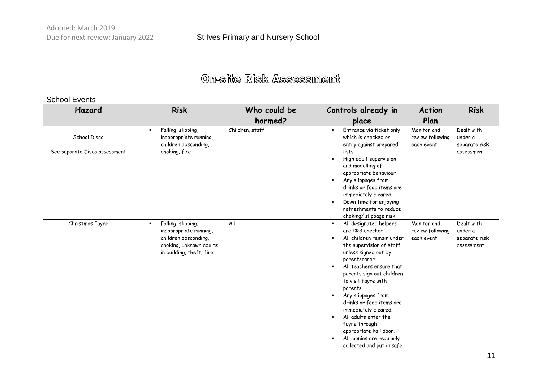#### School Events

| Hazard                        | <b>Risk</b>                                                                                                                                   | Who could be    | Controls already in                                                                                                                                                                                                                                                                                                                                                                                                                                                                 | <b>Action</b>                                 | <b>Risk</b>                                          |
|-------------------------------|-----------------------------------------------------------------------------------------------------------------------------------------------|-----------------|-------------------------------------------------------------------------------------------------------------------------------------------------------------------------------------------------------------------------------------------------------------------------------------------------------------------------------------------------------------------------------------------------------------------------------------------------------------------------------------|-----------------------------------------------|------------------------------------------------------|
|                               |                                                                                                                                               | harmed?         | place                                                                                                                                                                                                                                                                                                                                                                                                                                                                               | Plan                                          |                                                      |
| School Disco                  | Falling, slipping,<br>п<br>inappropriate running,<br>children absconding,                                                                     | Children, staff | Entrance via ticket only<br>$\blacksquare$<br>which is checked on<br>entry against prepared                                                                                                                                                                                                                                                                                                                                                                                         | Monitor and<br>review following<br>each event | Dealt with<br>under a<br>separate risk               |
| See separate Disco assessment | choking, fire                                                                                                                                 |                 | lists.<br>High adult supervision<br>$\blacksquare$<br>and modelling of<br>appropriate behaviour<br>Any slippages from<br>$\blacksquare$<br>drinks or food items are<br>immediately cleared.<br>Down time for enjoying<br>refreshments to reduce<br>choking/ slippage risk                                                                                                                                                                                                           |                                               | assessment                                           |
| Christmas Fayre               | Falling, slipping,<br>$\blacksquare$<br>inappropriate running,<br>children absconding,<br>choking, unknown adults<br>in building, theft, fire | All             | All designated helpers<br>$\blacksquare$<br>are CRB checked.<br>All children remain under<br>the supervision of staff<br>unless signed out by<br>parent/carer.<br>All teachers ensure that<br>parents sign out children<br>to visit fayre with<br>parents.<br>Any slippages from<br>$\blacksquare$<br>drinks or food items are<br>immediately cleared.<br>All adults enter the<br>fayre through<br>appropriate hall door.<br>All monies are regularly<br>collected and put in safe. | Monitor and<br>review following<br>each event | Dealt with<br>under a<br>separate risk<br>assessment |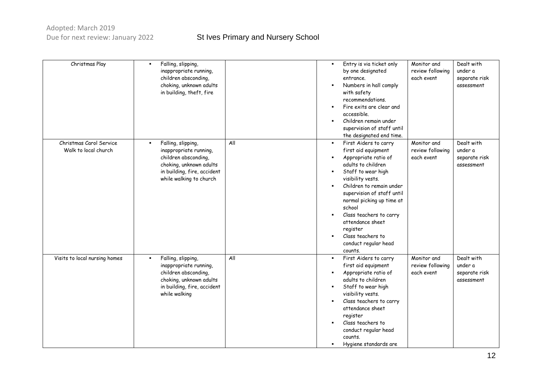| Christmas Play                                  | Falling, slipping,<br>inappropriate running,<br>children absconding,<br>choking, unknown adults<br>in building, theft, fire                                                 |     | Entry is via ticket only<br>$\blacksquare$<br>by one designated<br>entrance.<br>Numbers in hall comply<br>with safety<br>recommendations.<br>Fire exits are clear and<br>٠<br>accessible.<br>Children remain under<br>supervision of staff until<br>the designated end time.                                                                                                                                                      | Monitor and<br>review following<br>each event | Dealt with<br>under a<br>separate risk<br>assessment |
|-------------------------------------------------|-----------------------------------------------------------------------------------------------------------------------------------------------------------------------------|-----|-----------------------------------------------------------------------------------------------------------------------------------------------------------------------------------------------------------------------------------------------------------------------------------------------------------------------------------------------------------------------------------------------------------------------------------|-----------------------------------------------|------------------------------------------------------|
| Christmas Carol Service<br>Walk to local church | Falling, slipping,<br>$\blacksquare$<br>inappropriate running,<br>children absconding,<br>choking, unknown adults<br>in building, fire, accident<br>while walking to church | All | First Aiders to carry<br>$\blacksquare$<br>first aid equipment<br>Appropriate ratio of<br>$\blacksquare$<br>adults to children<br>Staff to wear high<br>$\blacksquare$<br>visibility vests.<br>Children to remain under<br>supervision of staff until<br>normal picking up time at<br>school<br>Class teachers to carry<br>$\blacksquare$<br>attendance sheet<br>register<br>Class teachers to<br>conduct regular head<br>counts. | Monitor and<br>review following<br>each event | Dealt with<br>under a<br>separate risk<br>assessment |
| Visits to local nursing homes                   | Falling, slipping,<br>$\blacksquare$<br>inappropriate running,<br>children absconding,<br>choking, unknown adults<br>in building, fire, accident<br>while walking           | All | First Aiders to carry<br>٠<br>first aid equipment<br>Appropriate ratio of<br>$\blacksquare$<br>adults to children<br>Staff to wear high<br>$\blacksquare$<br>visibility vests.<br>Class teachers to carry<br>attendance sheet<br>register<br>Class teachers to<br>conduct regular head<br>counts.<br>Hygiene standards are                                                                                                        | Monitor and<br>review following<br>each event | Dealt with<br>under a<br>separate risk<br>assessment |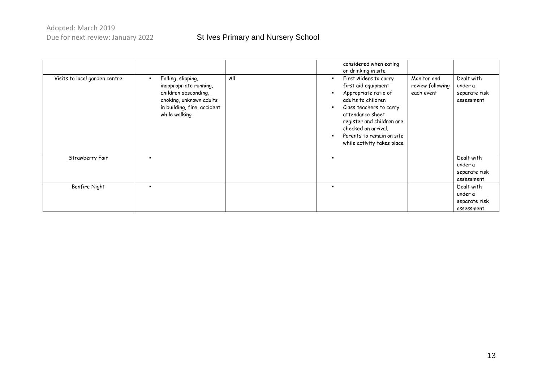|                               |                                                                                                                                                 |     | considered when eating<br>or drinking in site                                                                                                                                                                                                                      |                                               |                                                      |
|-------------------------------|-------------------------------------------------------------------------------------------------------------------------------------------------|-----|--------------------------------------------------------------------------------------------------------------------------------------------------------------------------------------------------------------------------------------------------------------------|-----------------------------------------------|------------------------------------------------------|
| Visits to local garden centre | Falling, slipping,<br>inappropriate running,<br>children absconding,<br>choking, unknown adults<br>in building, fire, accident<br>while walking | All | First Aiders to carry<br>п<br>first aid equipment<br>Appropriate ratio of<br>adults to children<br>Class teachers to carry<br>×<br>attendance sheet<br>register and children are<br>checked on arrival.<br>Parents to remain on site<br>while activity takes place | Monitor and<br>review following<br>each event | Dealt with<br>under a<br>separate risk<br>assessment |
| Strawberry Fair               | . .                                                                                                                                             |     | $\blacksquare$                                                                                                                                                                                                                                                     |                                               | Dealt with<br>under a<br>separate risk<br>assessment |
| <b>Bonfire Night</b>          |                                                                                                                                                 |     | $\blacksquare$                                                                                                                                                                                                                                                     |                                               | Dealt with<br>under a<br>separate risk<br>assessment |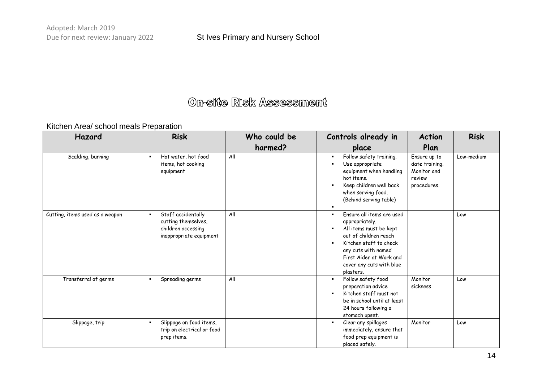#### Kitchen Area/ school meals Preparation

| Hazard                          | <b>Risk</b>                                                                                | Who could be | Controls already in                                                                                                                                                                                                                                                       | <b>Action</b>                                                          | <b>Risk</b> |
|---------------------------------|--------------------------------------------------------------------------------------------|--------------|---------------------------------------------------------------------------------------------------------------------------------------------------------------------------------------------------------------------------------------------------------------------------|------------------------------------------------------------------------|-------------|
|                                 |                                                                                            | harmed?      | place                                                                                                                                                                                                                                                                     | Plan                                                                   |             |
| Scalding, burning               | Hot water, hot food<br>items, hot cooking<br>equipment                                     | All          | Follow safety training.<br>٠<br>Use appropriate<br>٠<br>equipment when handling<br>hot items.<br>Keep children well back<br>when serving food.<br>(Behind serving table)                                                                                                  | Ensure up to<br>date training.<br>Monitor and<br>review<br>procedures. | Low-medium  |
| Cutting, items used as a weapon | Staff accidentally<br>cutting themselves,<br>children accessing<br>inappropriate equipment | All          | Ensure all items are used<br>$\blacksquare$<br>appropriately.<br>All items must be kept<br>$\blacksquare$<br>out of children reach<br>Kitchen staff to check<br>$\blacksquare$<br>any cuts with named<br>First Aider at Work and<br>cover any cuts with blue<br>plasters. |                                                                        | Low         |
| Transferral of germs            | Spreading germs                                                                            | All          | Follow safety food<br>$\blacksquare$<br>preparation advice<br>Kitchen staff must not<br>$\blacksquare$<br>be in school until at least<br>24 hours following a<br>stomach upset.                                                                                           | Monitor<br>sickness                                                    | Low         |
| Slippage, trip                  | Slippage on food items,<br>trip on electrical or food<br>prep items.                       |              | Clear any spillages<br>$\blacksquare$<br>immediately, ensure that<br>food prep equipment is<br>placed safely.                                                                                                                                                             | Monitor                                                                | Low         |